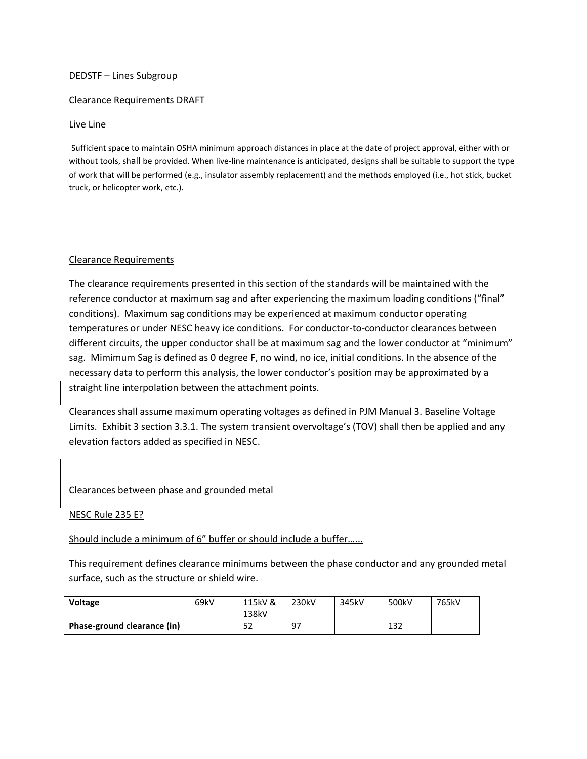## DEDSTF – Lines Subgroup

## Clearance Requirements DRAFT

## Live Line

Sufficient space to maintain OSHA minimum approach distances in place at the date of project approval, either with or without tools, shall be provided. When live-line maintenance is anticipated, designs shall be suitable to support the type of work that will be performed (e.g., insulator assembly replacement) and the methods employed (i.e., hot stick, bucket truck, or helicopter work, etc.).

## Clearance Requirements

The clearance requirements presented in this section of the standards will be maintained with the reference conductor at maximum sag and after experiencing the maximum loading conditions ("final" conditions). Maximum sag conditions may be experienced at maximum conductor operating temperatures or under NESC heavy ice conditions. For conductor-to-conductor clearances between different circuits, the upper conductor shall be at maximum sag and the lower conductor at "minimum" sag. Mimimum Sag is defined as 0 degree F, no wind, no ice, initial conditions. In the absence of the necessary data to perform this analysis, the lower conductor's position may be approximated by a straight line interpolation between the attachment points.

Clearances shall assume maximum operating voltages as defined in PJM Manual 3. Baseline Voltage Limits. Exhibit 3 section 3.3.1. The system transient overvoltage's (TOV) shall then be applied and any elevation factors added as specified in NESC.

# Clearances between phase and grounded metal

#### NESC Rule 235 E?

Should include a minimum of 6" buffer or should include a buffer…...

This requirement defines clearance minimums between the phase conductor and any grounded metal surface, such as the structure or shield wire.

| <b>Voltage</b>              | 69kV | 115kV &<br>138kV | 230kV | 345kV | 500kV | 765kV |
|-----------------------------|------|------------------|-------|-------|-------|-------|
| Phase-ground clearance (in) |      | 52               | 97    |       | 132   |       |